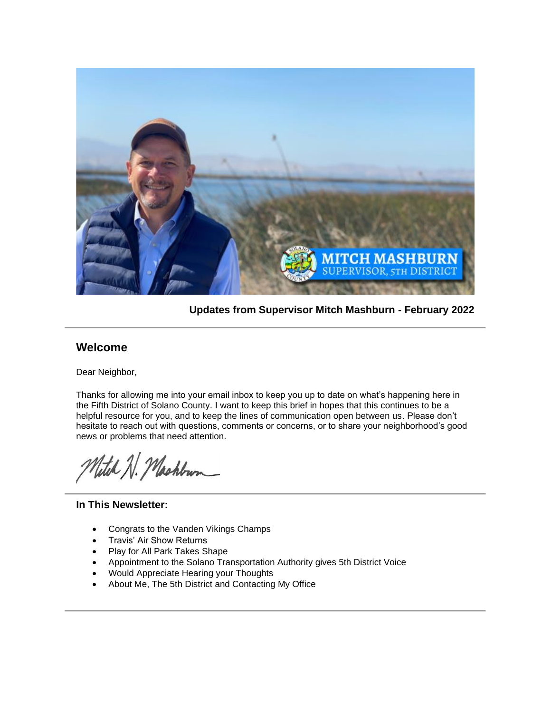

**Updates from Supervisor Mitch Mashburn - February 2022**

### **Welcome**

Dear Neighbor,

Thanks for allowing me into your email inbox to keep you up to date on what's happening here in the Fifth District of Solano County. I want to keep this brief in hopes that this continues to be a helpful resource for you, and to keep the lines of communication open between us. Please don't hesitate to reach out with questions, comments or concerns, or to share your neighborhood's good news or problems that need attention.

Vetel N. Machbun

#### **In This Newsletter:**

- Congrats to the Vanden Vikings Champs
- Travis' Air Show Returns
- Play for All Park Takes Shape
- Appointment to the Solano Transportation Authority gives 5th District Voice
- Would Appreciate Hearing your Thoughts
- About Me, The 5th District and Contacting My Office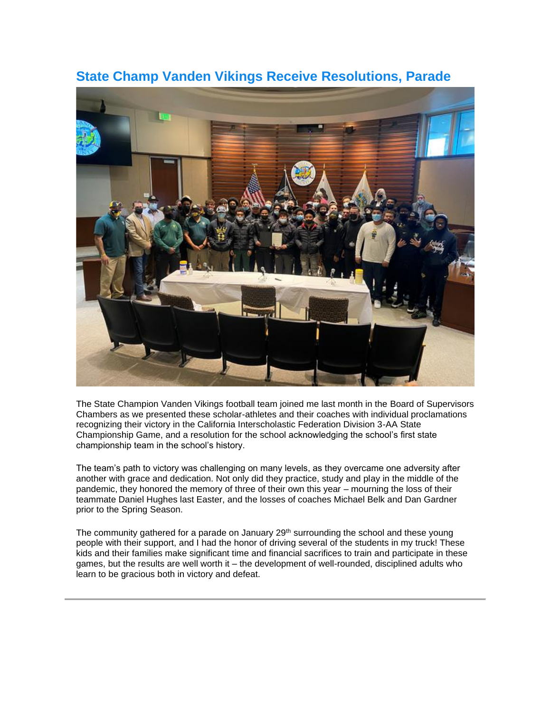

## **State Champ Vanden Vikings Receive Resolutions, Parade**

The State Champion Vanden Vikings football team joined me last month in the Board of Supervisors Chambers as we presented these scholar-athletes and their coaches with individual proclamations recognizing their victory in the California Interscholastic Federation Division 3-AA State Championship Game, and a resolution for the school acknowledging the school's first state championship team in the school's history.

The team's path to victory was challenging on many levels, as they overcame one adversity after another with grace and dedication. Not only did they practice, study and play in the middle of the pandemic, they honored the memory of three of their own this year – mourning the loss of their teammate Daniel Hughes last Easter, and the losses of coaches Michael Belk and Dan Gardner prior to the Spring Season.

The community gathered for a parade on January 29<sup>th</sup> surrounding the school and these young people with their support, and I had the honor of driving several of the students in my truck! These kids and their families make significant time and financial sacrifices to train and participate in these games, but the results are well worth it – the development of well-rounded, disciplined adults who learn to be gracious both in victory and defeat.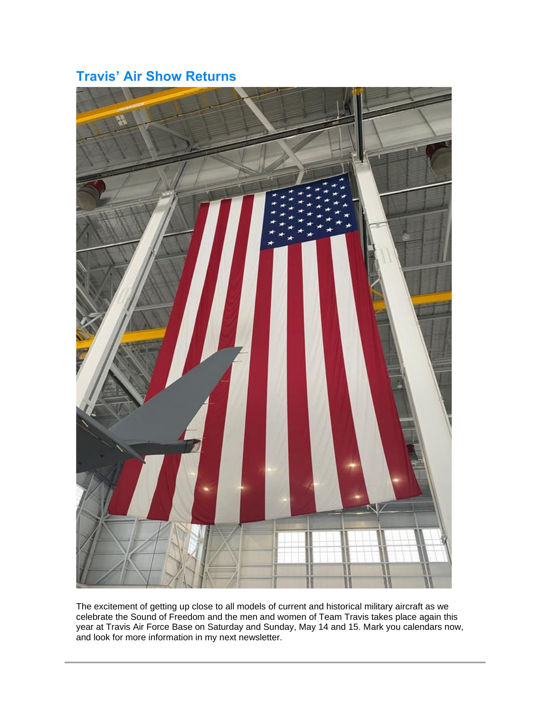# **Travis' Air Show Returns**



The excitement of getting up close to all models of current and historical military aircraft as we celebrate the Sound of Freedom and the men and women of Team Travis takes place again this year at Travis Air Force Base on Saturday and Sunday, May 14 and 15. Mark you calendars now, and look for more information in my next newsletter.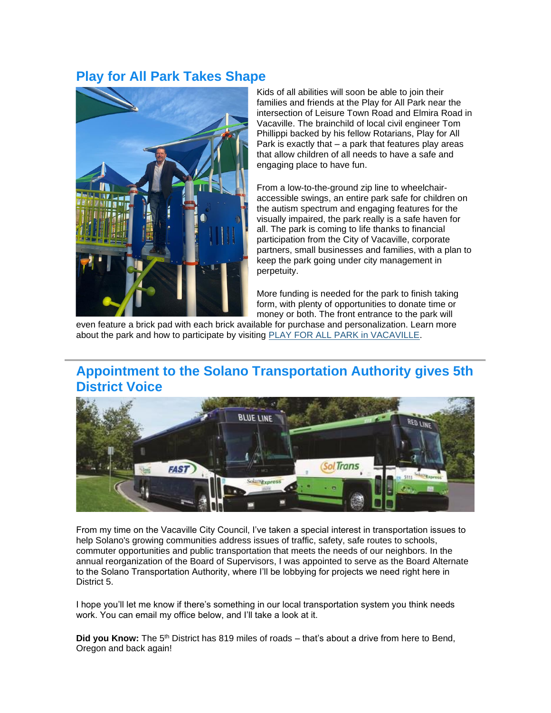## **Play for All Park Takes Shape**



Kids of all abilities will soon be able to join their families and friends at the Play for All Park near the intersection of Leisure Town Road and Elmira Road in Vacaville. The brainchild of local civil engineer Tom Phillippi backed by his fellow Rotarians, Play for All Park is exactly that – a park that features play areas that allow children of all needs to have a safe and engaging place to have fun.

From a low-to-the-ground zip line to wheelchairaccessible swings, an entire park safe for children on the autism spectrum and engaging features for the visually impaired, the park really is a safe haven for all. The park is coming to life thanks to financial participation from the City of Vacaville, corporate partners, small businesses and families, with a plan to keep the park going under city management in perpetuity.

More funding is needed for the park to finish taking form, with plenty of opportunities to donate time or money or both. The front entrance to the park will

even feature a brick pad with each brick available for purchase and personalization. Learn more about the park and how to participate by visiting [PLAY FOR ALL PARK in VACAVILLE.](https://gcc02.safelinks.protection.outlook.com/?url=https%3A%2F%2Furldefense.proofpoint.com%2Fv2%2Furl%3Fu%3Dhttps-3A__lnks.gd_l_eyJhbGciOiJIUzI1NiJ9.eyJidWxsZXRpbl9saW5rX2lkIjoxMDAsInVyaSI6ImJwMjpjbGljayIsImJ1bGxldGluX2lkIjoiMjAyMjAzMDEuNTQxNjc4NTEiLCJ1cmwiOiJodHRwOi8vd3d3LnBsYXk0YWxsdmFjYXZpbGxlLm9yZyJ9.zfO5XX4YQEapyv49WqUU-5FYGvIv3reJmI4UXjJZvpryI_s_1405136784_br_127309222101-2Dl%26d%3DDwMFAA%26c%3De71KFwQiz1Uq9SWN1ahPySYgwkr698SChpwjtuH1HMQ%26r%3DwtR8xVc_Xu1RIxHAOuNaerfc12IEbVF8BQeyJaHsy4k%26m%3DPIR1Kc4Br5-VG41Rmm_W_-eXrZ8Jn8LdOADdDzyGASo-wVLhEuRn17yC4GNNAgpX%26s%3DOABgruTq24ZgntxcMvjQ8pZ37IOxaLWnkx0aJvAPY0M%26e%3D&data=04%7C01%7C%7C15f1e3ac6a334f050cc508d9fb22f08d%7C5e7f20ace5f14f838c3bce44b8486421%7C0%7C0%7C637816949759265029%7CUnknown%7CTWFpbGZsb3d8eyJWIjoiMC4wLjAwMDAiLCJQIjoiV2luMzIiLCJBTiI6Ik1haWwiLCJXVCI6Mn0%3D%7C3000&sdata=Z0loqK2yJ2dhA4BZCe2qg5Ln7F6WbF6xkD2CycPwEB4%3D&reserved=0)

## **Appointment to the Solano Transportation Authority gives 5th District Voice**



From my time on the Vacaville City Council, I've taken a special interest in transportation issues to help Solano's growing communities address issues of traffic, safety, safe routes to schools, commuter opportunities and public transportation that meets the needs of our neighbors. In the annual reorganization of the Board of Supervisors, I was appointed to serve as the Board Alternate to the Solano Transportation Authority, where I'll be lobbying for projects we need right here in District 5.

I hope you'll let me know if there's something in our local transportation system you think needs work. You can email my office below, and I'll take a look at it.

Did you Know: The 5<sup>th</sup> District has 819 miles of roads – that's about a drive from here to Bend, Oregon and back again!